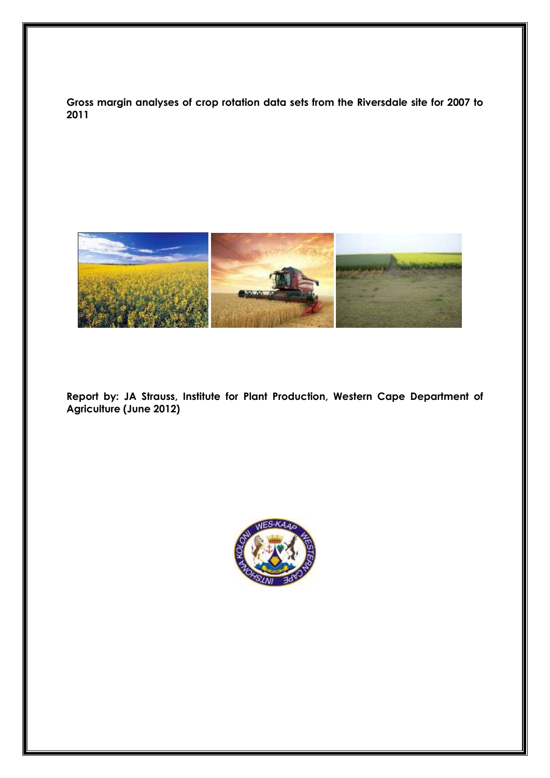**Gross margin analyses of crop rotation data sets from the Riversdale site for 2007 to 2011**



**Report by: JA Strauss, Institute for Plant Production, Western Cape Department of Agriculture (June 2012)**

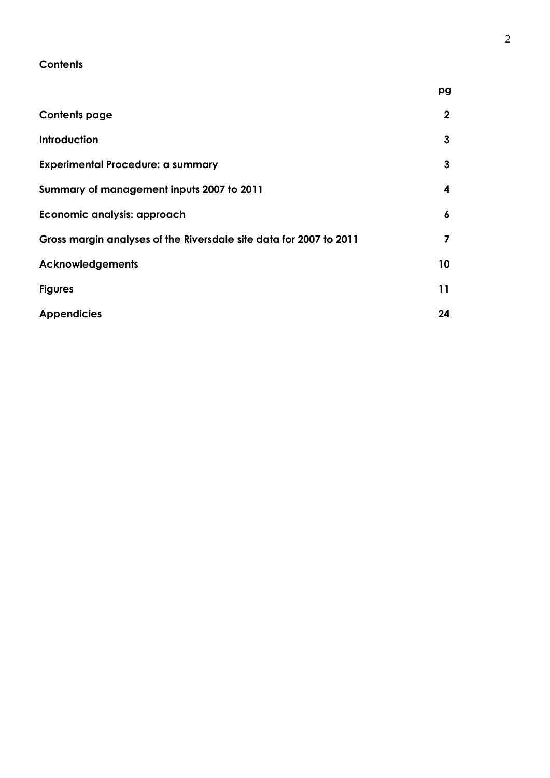# **Contents**

|                                                                    | pg           |
|--------------------------------------------------------------------|--------------|
| <b>Contents page</b>                                               | $\mathbf{2}$ |
| <b>Introduction</b>                                                | 3            |
| <b>Experimental Procedure: a summary</b>                           | 3            |
| Summary of management inputs 2007 to 2011                          | 4            |
| Economic analysis: approach                                        | 6            |
| Gross margin analyses of the Riversdale site data for 2007 to 2011 | 7            |
| <b>Acknowledgements</b>                                            | 10           |
| <b>Figures</b>                                                     | 11           |
| <b>Appendicies</b>                                                 | 24           |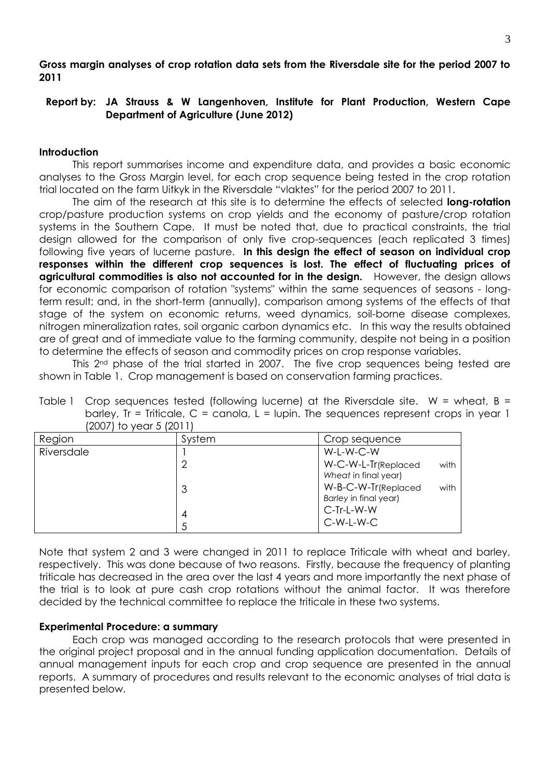## **Gross margin analyses of crop rotation data sets from the Riversdale site for the period 2007 to 2011**

## **Report by: JA Strauss & W Langenhoven, Institute for Plant Production, Western Cape Department of Agriculture (June 2012)**

## **Introduction**

This report summarises income and expenditure data, and provides a basic economic analyses to the Gross Margin level, for each crop sequence being tested in the crop rotation trial located on the farm Uitkyk in the Riversdale "vlaktes" for the period 2007 to 2011.

The aim of the research at this site is to determine the effects of selected **long-rotation** crop/pasture production systems on crop yields and the economy of pasture/crop rotation systems in the Southern Cape. It must be noted that, due to practical constraints, the trial design allowed for the comparison of only five crop-sequences (each replicated 3 times) following five years of lucerne pasture. **In this design the effect of season on individual crop responses within the different crop sequences is lost. The effect of fluctuating prices of agricultural commodities is also not accounted for in the design.** However, the design allows for economic comparison of rotation "systems" within the same sequences of seasons - longterm result; and, in the short-term (annually), comparison among systems of the effects of that stage of the system on economic returns, weed dynamics, soil-borne disease complexes, nitrogen mineralization rates, soil organic carbon dynamics etc. In this way the results obtained are of great and of immediate value to the farming community, despite not being in a position to determine the effects of season and commodity prices on crop response variables.

This 2<sup>nd</sup> phase of the trial started in 2007. The five crop sequences being tested are shown in Table 1. Crop management is based on conservation farming practices.

| Table 1 Crop sequences tested (following lucerne) at the Riversdale site. W = wheat, $B =$ |
|--------------------------------------------------------------------------------------------|
| barley, Ir = Triticale, C = canola, L = lupin. The sequences represent crops in year 1     |
| $(2007)$ to year 5 $(2011)$                                                                |

| ---        |        |                             |
|------------|--------|-----------------------------|
| Region     | System | Crop sequence               |
| Riversdale |        | W-L-W-C-W                   |
|            | ⌒      | W-C-W-L-Tr(Replaced<br>with |
|            |        | Wheat in final year)        |
|            | 3      | W-B-C-W-Tr(Replaced<br>with |
|            |        | Barley in final year)       |
|            | 4      | C-Tr-L-W-W                  |
|            |        | $C-W-L-W-C$                 |
|            |        |                             |

Note that system 2 and 3 were changed in 2011 to replace Triticale with wheat and barley, respectively. This was done because of two reasons. Firstly, because the frequency of planting triticale has decreased in the area over the last 4 years and more importantly the next phase of the trial is to look at pure cash crop rotations without the animal factor. It was therefore decided by the technical committee to replace the triticale in these two systems.

### **Experimental Procedure: a summary**

Each crop was managed according to the research protocols that were presented in the original project proposal and in the annual funding application documentation. Details of annual management inputs for each crop and crop sequence are presented in the annual reports. A summary of procedures and results relevant to the economic analyses of trial data is presented below.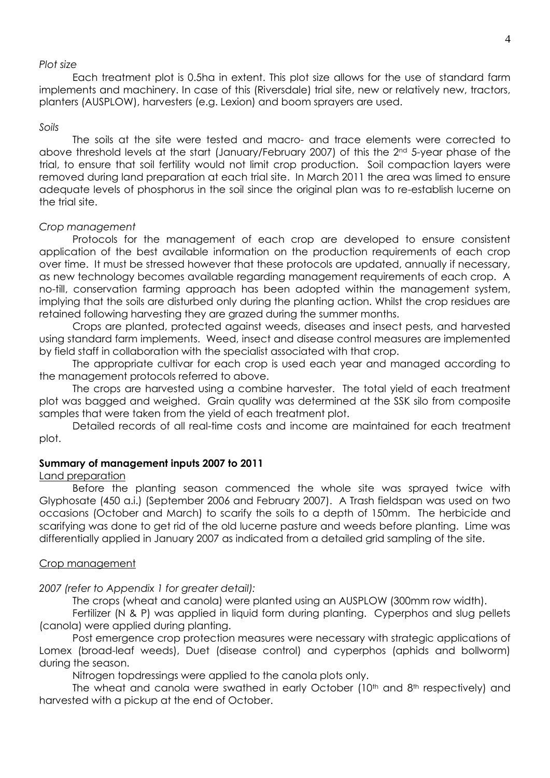#### *Plot size*

Each treatment plot is 0.5ha in extent. This plot size allows for the use of standard farm implements and machinery. In case of this (Riversdale) trial site, new or relatively new, tractors, planters (AUSPLOW), harvesters (e.g. Lexion) and boom sprayers are used.

#### *Soils*

The soils at the site were tested and macro- and trace elements were corrected to above threshold levels at the start (January/February 2007) of this the 2<sup>nd</sup> 5-year phase of the trial, to ensure that soil fertility would not limit crop production. Soil compaction layers were removed during land preparation at each trial site. In March 2011 the area was limed to ensure adequate levels of phosphorus in the soil since the original plan was to re-establish lucerne on the trial site.

#### *Crop management*

Protocols for the management of each crop are developed to ensure consistent application of the best available information on the production requirements of each crop over time. It must be stressed however that these protocols are updated, annually if necessary, as new technology becomes available regarding management requirements of each crop. A no-till, conservation farming approach has been adopted within the management system, implying that the soils are disturbed only during the planting action. Whilst the crop residues are retained following harvesting they are grazed during the summer months.

Crops are planted, protected against weeds, diseases and insect pests, and harvested using standard farm implements. Weed, insect and disease control measures are implemented by field staff in collaboration with the specialist associated with that crop.

The appropriate cultivar for each crop is used each year and managed according to the management protocols referred to above.

The crops are harvested using a combine harvester. The total yield of each treatment plot was bagged and weighed. Grain quality was determined at the SSK silo from composite samples that were taken from the yield of each treatment plot.

Detailed records of all real-time costs and income are maintained for each treatment plot.

#### **Summary of management inputs 2007 to 2011**

#### Land preparation

Before the planting season commenced the whole site was sprayed twice with Glyphosate (450 a.i.) (September 2006 and February 2007). A Trash fieldspan was used on two occasions (October and March) to scarify the soils to a depth of 150mm. The herbicide and scarifying was done to get rid of the old lucerne pasture and weeds before planting. Lime was differentially applied in January 2007 as indicated from a detailed grid sampling of the site.

#### Crop management

#### *2007 (refer to Appendix 1 for greater detail):*

The crops (wheat and canola) were planted using an AUSPLOW (300mm row width).

Fertilizer (N & P) was applied in liquid form during planting. Cyperphos and slug pellets (canola) were applied during planting.

Post emergence crop protection measures were necessary with strategic applications of Lomex (broad-leaf weeds), Duet (disease control) and cyperphos (aphids and bollworm) during the season.

Nitrogen topdressings were applied to the canola plots only.

The wheat and canola were swathed in early October  $(10<sup>th</sup>$  and  $8<sup>th</sup>$  respectively) and harvested with a pickup at the end of October.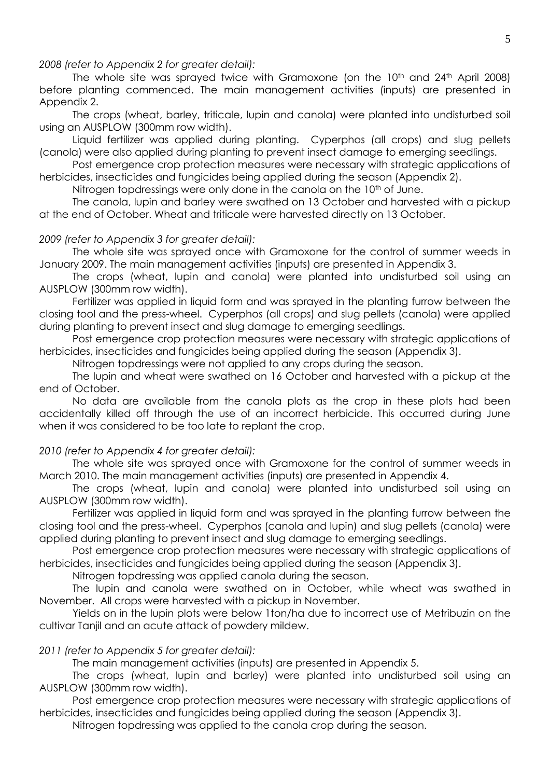*2008 (refer to Appendix 2 for greater detail):*

The whole site was sprayed twice with Gramoxone (on the  $10<sup>th</sup>$  and  $24<sup>th</sup>$  April 2008) before planting commenced. The main management activities (inputs) are presented in Appendix 2.

The crops (wheat, barley, triticale, lupin and canola) were planted into undisturbed soil using an AUSPLOW (300mm row width).

Liquid fertilizer was applied during planting. Cyperphos (all crops) and slug pellets (canola) were also applied during planting to prevent insect damage to emerging seedlings.

Post emergence crop protection measures were necessary with strategic applications of herbicides, insecticides and fungicides being applied during the season (Appendix 2).

Nitrogen topdressings were only done in the canola on the  $10<sup>th</sup>$  of June.

The canola, lupin and barley were swathed on 13 October and harvested with a pickup at the end of October. Wheat and triticale were harvested directly on 13 October.

#### *2009 (refer to Appendix 3 for greater detail):*

The whole site was sprayed once with Gramoxone for the control of summer weeds in January 2009. The main management activities (inputs) are presented in Appendix 3.

The crops (wheat, lupin and canola) were planted into undisturbed soil using an AUSPLOW (300mm row width).

Fertilizer was applied in liquid form and was sprayed in the planting furrow between the closing tool and the press-wheel. Cyperphos (all crops) and slug pellets (canola) were applied during planting to prevent insect and slug damage to emerging seedlings.

Post emergence crop protection measures were necessary with strategic applications of herbicides, insecticides and fungicides being applied during the season (Appendix 3).

Nitrogen topdressings were not applied to any crops during the season.

The lupin and wheat were swathed on 16 October and harvested with a pickup at the end of October.

No data are available from the canola plots as the crop in these plots had been accidentally killed off through the use of an incorrect herbicide. This occurred during June when it was considered to be too late to replant the crop.

#### *2010 (refer to Appendix 4 for greater detail):*

The whole site was sprayed once with Gramoxone for the control of summer weeds in March 2010. The main management activities (inputs) are presented in Appendix 4.

The crops (wheat, lupin and canola) were planted into undisturbed soil using an AUSPLOW (300mm row width).

Fertilizer was applied in liquid form and was sprayed in the planting furrow between the closing tool and the press-wheel. Cyperphos (canola and lupin) and slug pellets (canola) were applied during planting to prevent insect and slug damage to emerging seedlings.

Post emergence crop protection measures were necessary with strategic applications of herbicides, insecticides and fungicides being applied during the season (Appendix 3).

Nitrogen topdressing was applied canola during the season.

The lupin and canola were swathed on in October, while wheat was swathed in November. All crops were harvested with a pickup in November.

Yields on in the lupin plots were below 1ton/ha due to incorrect use of Metribuzin on the cultivar Tanjil and an acute attack of powdery mildew.

#### *2011 (refer to Appendix 5 for greater detail):*

The main management activities (inputs) are presented in Appendix 5.

The crops (wheat, lupin and barley) were planted into undisturbed soil using an AUSPLOW (300mm row width).

Post emergence crop protection measures were necessary with strategic applications of herbicides, insecticides and fungicides being applied during the season (Appendix 3).

Nitrogen topdressing was applied to the canola crop during the season.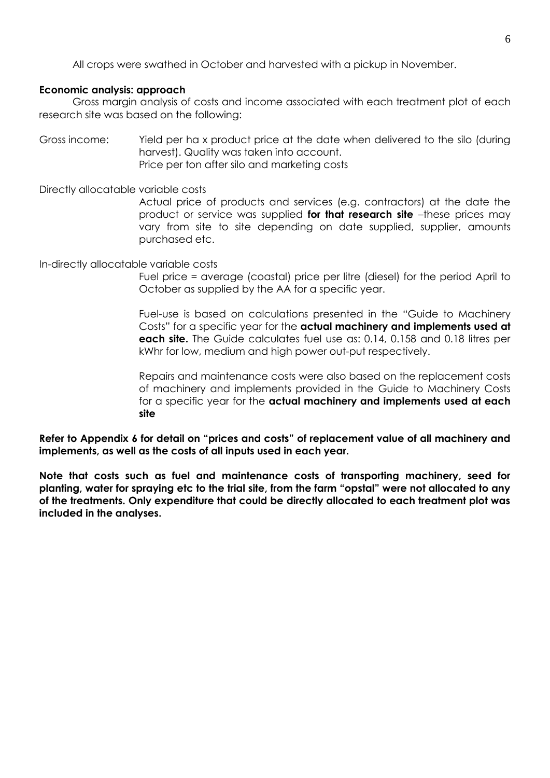All crops were swathed in October and harvested with a pickup in November.

## **Economic analysis: approach**

Gross margin analysis of costs and income associated with each treatment plot of each research site was based on the following:

Gross income: Yield per ha x product price at the date when delivered to the silo (during harvest). Quality was taken into account. Price per ton after silo and marketing costs

Directly allocatable variable costs

Actual price of products and services (e.g. contractors) at the date the product or service was supplied **for that research site** –these prices may vary from site to site depending on date supplied, supplier, amounts purchased etc.

In-directly allocatable variable costs

Fuel price = average (coastal) price per litre (diesel) for the period April to October as supplied by the AA for a specific year.

Fuel-use is based on calculations presented in the "Guide to Machinery Costs" for a specific year for the **actual machinery and implements used at each site.** The Guide calculates fuel use as: 0.14, 0.158 and 0.18 litres per kWhr for low, medium and high power out-put respectively.

Repairs and maintenance costs were also based on the replacement costs of machinery and implements provided in the Guide to Machinery Costs for a specific year for the **actual machinery and implements used at each site**

**Refer to Appendix 6 for detail on "prices and costs" of replacement value of all machinery and implements, as well as the costs of all inputs used in each year.**

**Note that costs such as fuel and maintenance costs of transporting machinery, seed for planting, water for spraying etc to the trial site, from the farm "opstal" were not allocated to any of the treatments. Only expenditure that could be directly allocated to each treatment plot was included in the analyses.**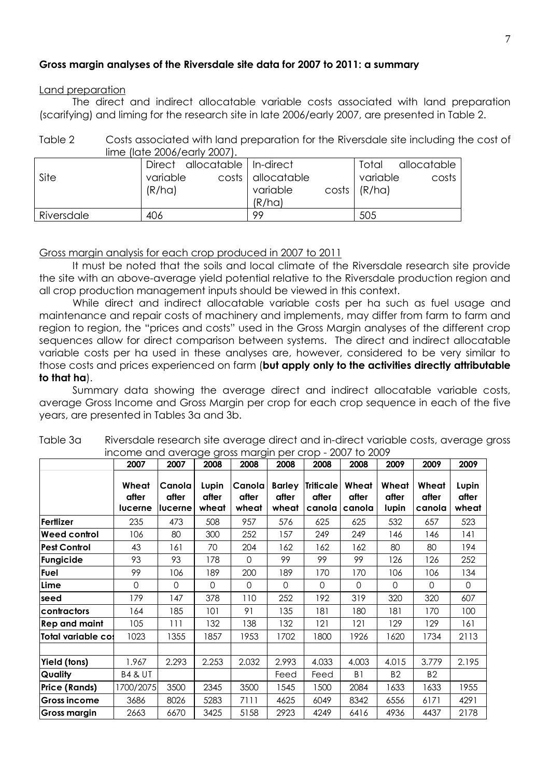## **Gross margin analyses of the Riversdale site data for 2007 to 2011: a summary**

### Land preparation

The direct and indirect allocatable variable costs associated with land preparation (scarifying) and liming for the research site in late 2006/early 2007, are presented in Table 2.

Table 2 Costs associated with land preparation for the Riversdale site including the cost of lime (late 2006/early 2007).

| Site       | Direct allocatable   In-direct<br>variable<br>(R/ha) | costs   allocatable<br>variable<br>(R/ha) | allocatable<br>Total<br>variable<br>costs<br>$costs$ $(R/ha)$ |
|------------|------------------------------------------------------|-------------------------------------------|---------------------------------------------------------------|
| Riversdale | 406                                                  | 99                                        | 505                                                           |

### Gross margin analysis for each crop produced in 2007 to 2011

It must be noted that the soils and local climate of the Riversdale research site provide the site with an above-average yield potential relative to the Riversdale production region and all crop production management inputs should be viewed in this context.

While direct and indirect allocatable variable costs per ha such as fuel usage and maintenance and repair costs of machinery and implements, may differ from farm to farm and region to region, the "prices and costs" used in the Gross Margin analyses of the different crop sequences allow for direct comparison between systems. The direct and indirect allocatable variable costs per ha used in these analyses are, however, considered to be very similar to those costs and prices experienced on farm (**but apply only to the activities directly attributable to that ha**).

Summary data showing the average direct and indirect allocatable variable costs, average Gross Income and Gross Margin per crop for each crop sequence in each of the five years, are presented in Tables 3a and 3b.

|                      | 2007                             | 2007                       | 2008                    | 2008                     | 2008                            | 2008                                | 2008                     | 2009                    | 2009                     | 2009                    |
|----------------------|----------------------------------|----------------------------|-------------------------|--------------------------|---------------------------------|-------------------------------------|--------------------------|-------------------------|--------------------------|-------------------------|
|                      | Wheat<br>after<br><b>lucerne</b> | Canola<br>after<br>lucerne | Lupin<br>after<br>wheat | Canola<br>after<br>wheat | <b>Barley</b><br>after<br>wheat | <b>Triticale</b><br>after<br>canola | Wheat<br>after<br>canola | Wheat<br>after<br>lupin | Wheat<br>after<br>canola | Lupin<br>after<br>wheat |
| Fertlizer            | 235                              | 473                        | 508                     | 957                      | 576                             | 625                                 | 625                      | 532                     | 657                      | 523                     |
| Weed control         | 106                              | 80                         | 300                     | 252                      | 157                             | 249                                 | 249                      | 146                     | 146                      | 141                     |
| <b>Pest Control</b>  | 43                               | 161                        | 70                      | 204                      | 162                             | 162                                 | 162                      | 80                      | 80                       | 194                     |
| Fungicide            | 93                               | 93                         | 178                     | $\Omega$                 | 99                              | 99                                  | 99                       | 126                     | 126                      | 252                     |
| Fuel                 | 99                               | 106                        | 189                     | 200                      | 189                             | 170                                 | 170                      | 106                     | 106                      | 134                     |
| Lime                 | 0                                | $\Omega$                   | $\Omega$                | $\Omega$                 | $\Omega$                        | $\Omega$                            | $\mathbf 0$              | $\Omega$                | $\Omega$                 | $\Omega$                |
| seed                 | 179                              | 147                        | 378                     | 110                      | 252                             | 192                                 | 319                      | 320                     | 320                      | 607                     |
| contractors          | 164                              | 185                        | 101                     | 91                       | 135                             | 181                                 | 180                      | 181                     | 170                      | 100                     |
| <b>Rep and maint</b> | 105                              | 111                        | 132                     | 138                      | 132                             | 121                                 | 121                      | 129                     | 129                      | 161                     |
| lTotal variable co:  | 1023                             | 1355                       | 1857                    | 1953                     | 1702                            | 1800                                | 1926                     | 1620                    | 1734                     | 2113                    |
|                      |                                  |                            |                         |                          |                                 |                                     |                          |                         |                          |                         |
| Yield (tons)         | 1.967                            | 2.293                      | 2.253                   | 2.032                    | 2.993                           | 4.033                               | 4.003                    | 4.015                   | 3.779                    | 2.195                   |
| <b>Quality</b>       | <b>B4 &amp; UT</b>               |                            |                         |                          | Feed                            | Feed                                | B <sub>1</sub>           | <b>B2</b>               | <b>B2</b>                |                         |
| <b>Price (Rands)</b> | 1700/2075                        | 3500                       | 2345                    | 3500                     | 1545                            | 1500                                | 2084                     | 1633                    | 1633                     | 1955                    |
| Gross income         | 3686                             | 8026                       | 5283                    | 7111                     | 4625                            | 6049                                | 8342                     | 6556                    | 6171                     | 4291                    |
| Gross margin         | 2663                             | 6670                       | 3425                    | 5158                     | 2923                            | 4249                                | 6416                     | 4936                    | 4437                     | 2178                    |

| Table 3a | Riversdale research site average direct and in-direct variable costs, average gross |
|----------|-------------------------------------------------------------------------------------|
|          | income and average gross margin per crop - 2007 to 2009                             |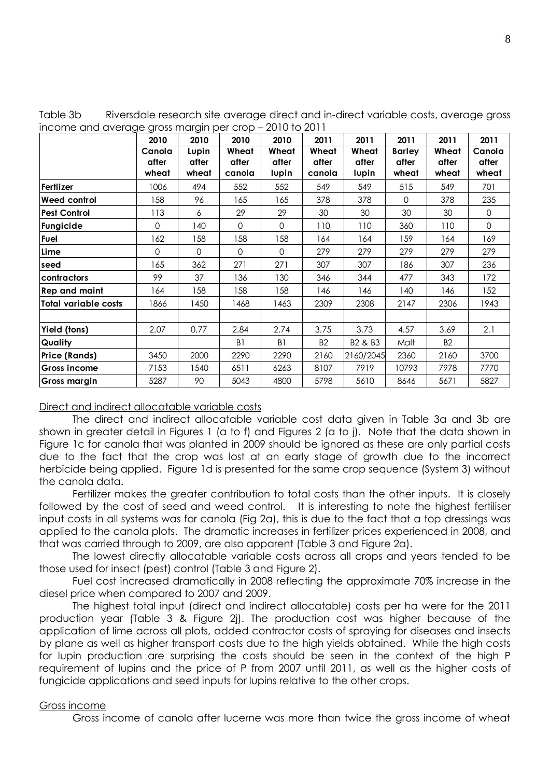| Table 3b | Riversdale research site average direct and in-direct variable costs, average gross |
|----------|-------------------------------------------------------------------------------------|
|          | income and average gross margin per crop – 2010 to 2011                             |

|                             | 2010     | 2010     | 2010           | 2010           | 2011      | 2011                            | 2011          | 2011           | 2011     |
|-----------------------------|----------|----------|----------------|----------------|-----------|---------------------------------|---------------|----------------|----------|
|                             | Canola   | Lupin    | Wheat          | Wheat          | Wheat     | Wheat                           | <b>Barley</b> | Wheat          | Canola   |
|                             | after    | after    | after          | after          | after     | after                           | after         | after          | after    |
|                             | wheat    | wheat    | canola         | lupin          | canola    | lupin                           | wheat         | wheat          | wheat    |
| Fertlizer                   | 1006     | 494      | 552            | 552            | 549       | 549                             | 515           | 549            | 701      |
| Weed control                | 158      | 96       | 165            | 165            | 378       | 378                             | $\Omega$      | 378            | 235      |
| <b>Pest Control</b>         | 113      | 6        | 29             | 29             | 30        | 30                              | 30            | 30             | 0        |
| Fungicide                   | $\Omega$ | 140      | $\Omega$       | $\Omega$       | 110       | 110                             | 360           | 110            | $\Omega$ |
| Fuel                        | 162      | 158      | 158            | 158            | 164       | 164                             | 159           | 164            | 169      |
| Lime                        | $\Omega$ | $\Omega$ | $\Omega$       | $\Omega$       | 279       | 279                             | 279           | 279            | 279      |
| seed                        | 165      | 362      | 271            | 271            | 307       | 307                             | 186           | 307            | 236      |
| contractors                 | 99       | 37       | 136            | 130            | 346       | 344                             | 477           | 343            | 172      |
| <b>Rep and maint</b>        | 164      | 158      | 158            | 158            | 146       | 146                             | 140           | 146            | 152      |
| <b>Total variable costs</b> | 1866     | 1450     | 1468           | 1463           | 2309      | 2308                            | 2147          | 2306           | 1943     |
|                             |          |          |                |                |           |                                 |               |                |          |
| Yield (tons)                | 2.07     | 0.77     | 2.84           | 2.74           | 3.75      | 3.73                            | 4.57          | 3.69           | 2.1      |
| <b>Quality</b>              |          |          | B <sub>1</sub> | B <sub>1</sub> | <b>B2</b> | B <sub>2</sub> & B <sub>3</sub> | Malt          | B <sub>2</sub> |          |
| <b>Price (Rands)</b>        | 3450     | 2000     | 2290           | 2290           | 2160      | 2160/2045                       | 2360          | 2160           | 3700     |
| <b>Gross income</b>         | 7153     | 1540     | 6511           | 6263           | 8107      | 7919                            | 10793         | 7978           | 7770     |
| <b>Gross margin</b>         | 5287     | 90       | 5043           | 4800           | 5798      | 5610                            | 8646          | 5671           | 5827     |

#### Direct and indirect allocatable variable costs

The direct and indirect allocatable variable cost data given in Table 3a and 3b are shown in greater detail in Figures 1 (a to f) and Figures 2 (a to j). Note that the data shown in Figure 1c for canola that was planted in 2009 should be ignored as these are only partial costs due to the fact that the crop was lost at an early stage of growth due to the incorrect herbicide being applied. Figure 1d is presented for the same crop sequence (System 3) without the canola data.

Fertilizer makes the greater contribution to total costs than the other inputs. It is closely followed by the cost of seed and weed control. It is interesting to note the highest fertiliser input costs in all systems was for canola (Fig 2a), this is due to the fact that a top dressings was applied to the canola plots. The dramatic increases in fertilizer prices experienced in 2008, and that was carried through to 2009, are also apparent (Table 3 and Figure 2a).

The lowest directly allocatable variable costs across all crops and years tended to be those used for insect (pest) control (Table 3 and Figure 2).

Fuel cost increased dramatically in 2008 reflecting the approximate 70% increase in the diesel price when compared to 2007 and 2009.

The highest total input (direct and indirect allocatable) costs per ha were for the 2011 production year (Table 3 & Figure 2j). The production cost was higher because of the application of lime across all plots, added contractor costs of spraying for diseases and insects by plane as well as higher transport costs due to the high yields obtained. While the high costs for lupin production are surprising the costs should be seen in the context of the high P requirement of lupins and the price of P from 2007 until 2011, as well as the higher costs of fungicide applications and seed inputs for lupins relative to the other crops.

#### Gross income

Gross income of canola after lucerne was more than twice the gross income of wheat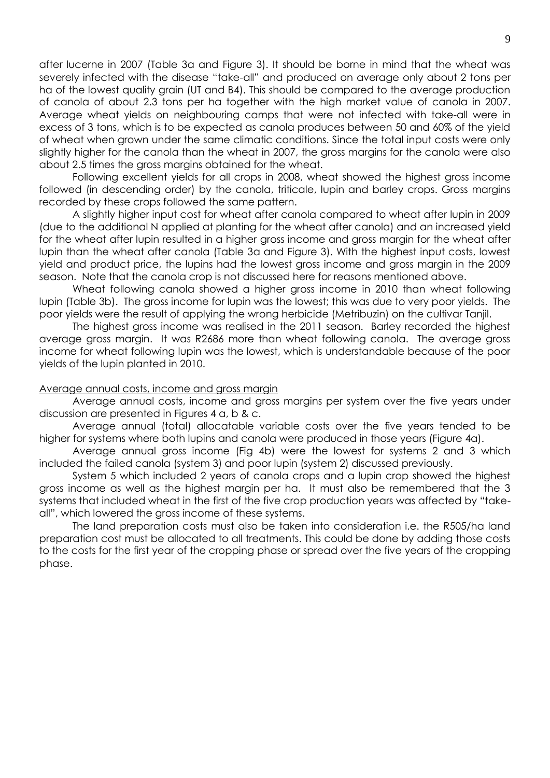after lucerne in 2007 (Table 3a and Figure 3). It should be borne in mind that the wheat was severely infected with the disease "take-all" and produced on average only about 2 tons per ha of the lowest quality grain (UT and B4). This should be compared to the average production of canola of about 2.3 tons per ha together with the high market value of canola in 2007. Average wheat yields on neighbouring camps that were not infected with take-all were in excess of 3 tons, which is to be expected as canola produces between 50 and 60% of the yield of wheat when grown under the same climatic conditions. Since the total input costs were only slightly higher for the canola than the wheat in 2007, the gross margins for the canola were also about 2.5 times the gross margins obtained for the wheat.

Following excellent yields for all crops in 2008, wheat showed the highest gross income followed (in descending order) by the canola, triticale, lupin and barley crops. Gross margins recorded by these crops followed the same pattern.

A slightly higher input cost for wheat after canola compared to wheat after lupin in 2009 (due to the additional N applied at planting for the wheat after canola) and an increased yield for the wheat after lupin resulted in a higher gross income and gross margin for the wheat after lupin than the wheat after canola (Table 3a and Figure 3). With the highest input costs, lowest yield and product price, the lupins had the lowest gross income and gross margin in the 2009 season. Note that the canola crop is not discussed here for reasons mentioned above.

Wheat following canola showed a higher gross income in 2010 than wheat following lupin (Table 3b). The gross income for lupin was the lowest; this was due to very poor yields. The poor yields were the result of applying the wrong herbicide (Metribuzin) on the cultivar Tanjil.

The highest gross income was realised in the 2011 season. Barley recorded the highest average gross margin. It was R2686 more than wheat following canola. The average gross income for wheat following lupin was the lowest, which is understandable because of the poor yields of the lupin planted in 2010.

#### Average annual costs, income and gross margin

Average annual costs, income and gross margins per system over the five years under discussion are presented in Figures 4 a, b & c.

Average annual (total) allocatable variable costs over the five years tended to be higher for systems where both lupins and canola were produced in those years (Figure 4a).

Average annual gross income (Fig 4b) were the lowest for systems 2 and 3 which included the failed canola (system 3) and poor lupin (system 2) discussed previously.

System 5 which included 2 years of canola crops and a lupin crop showed the highest gross income as well as the highest margin per ha. It must also be remembered that the 3 systems that included wheat in the first of the five crop production years was affected by "takeall", which lowered the gross income of these systems.

The land preparation costs must also be taken into consideration i.e. the R505/ha land preparation cost must be allocated to all treatments. This could be done by adding those costs to the costs for the first year of the cropping phase or spread over the five years of the cropping phase.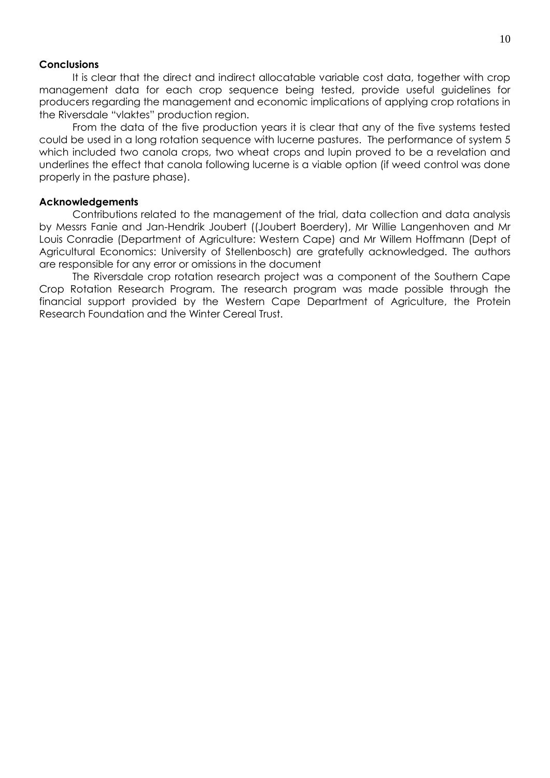#### **Conclusions**

It is clear that the direct and indirect allocatable variable cost data, together with crop management data for each crop sequence being tested, provide useful guidelines for producers regarding the management and economic implications of applying crop rotations in the Riversdale "vlaktes" production region.

From the data of the five production years it is clear that any of the five systems tested could be used in a long rotation sequence with lucerne pastures. The performance of system 5 which included two canola crops, two wheat crops and lupin proved to be a revelation and underlines the effect that canola following lucerne is a viable option (if weed control was done properly in the pasture phase).

#### **Acknowledgements**

Contributions related to the management of the trial, data collection and data analysis by Messrs Fanie and Jan-Hendrik Joubert ((Joubert Boerdery), Mr Willie Langenhoven and Mr Louis Conradie (Department of Agriculture: Western Cape) and Mr Willem Hoffmann (Dept of Agricultural Economics: University of Stellenbosch) are gratefully acknowledged. The authors are responsible for any error or omissions in the document

The Riversdale crop rotation research project was a component of the Southern Cape Crop Rotation Research Program. The research program was made possible through the financial support provided by the Western Cape Department of Agriculture, the Protein Research Foundation and the Winter Cereal Trust.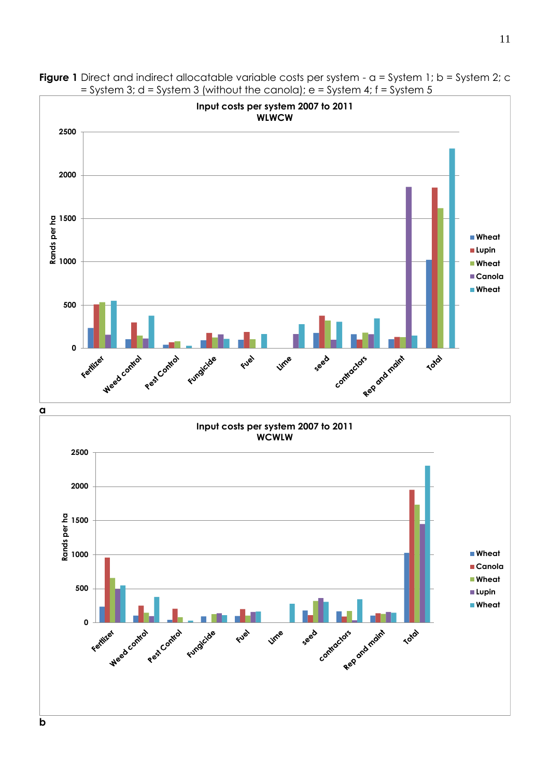

**Figure 1** Direct and indirect allocatable variable costs per system - a = System 1; b = System 2; c = System 3; d = System 3 (without the canola);  $e =$  System 4; f = System 5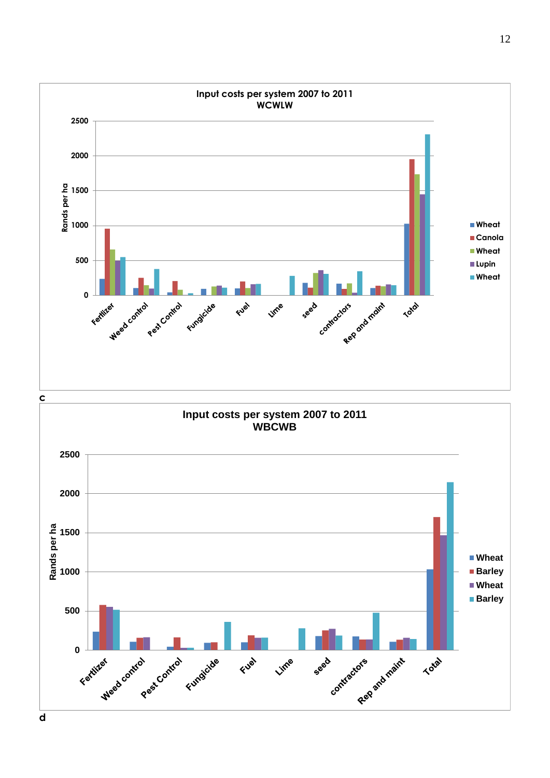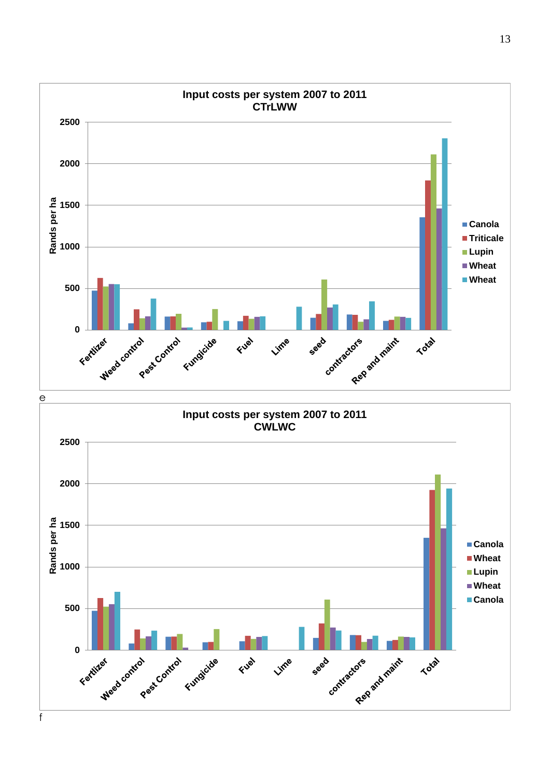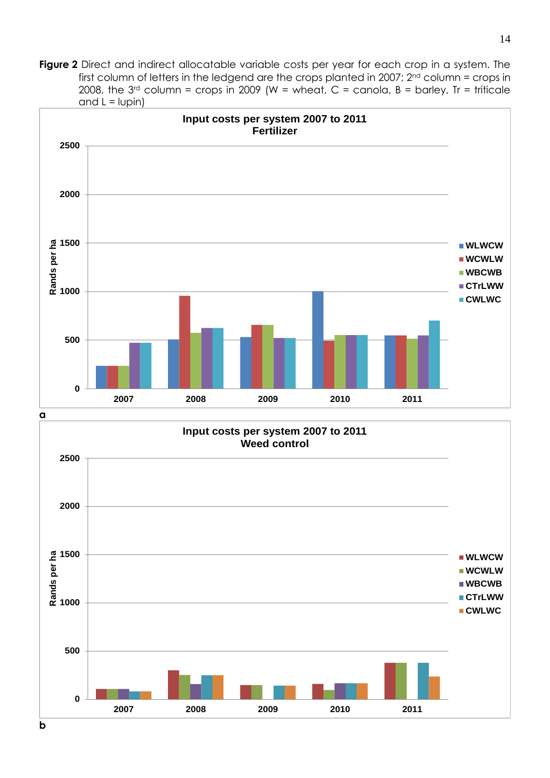**Figure 2** Direct and indirect allocatable variable costs per year for each crop in a system. The first column of letters in the ledgend are the crops planted in 2007;  $2^{nd}$  column = crops in 2008, the  $3^{rd}$  column = crops in 2009 (W = wheat, C = canola, B = barley, Tr = triticale and  $L = l$  lupin)



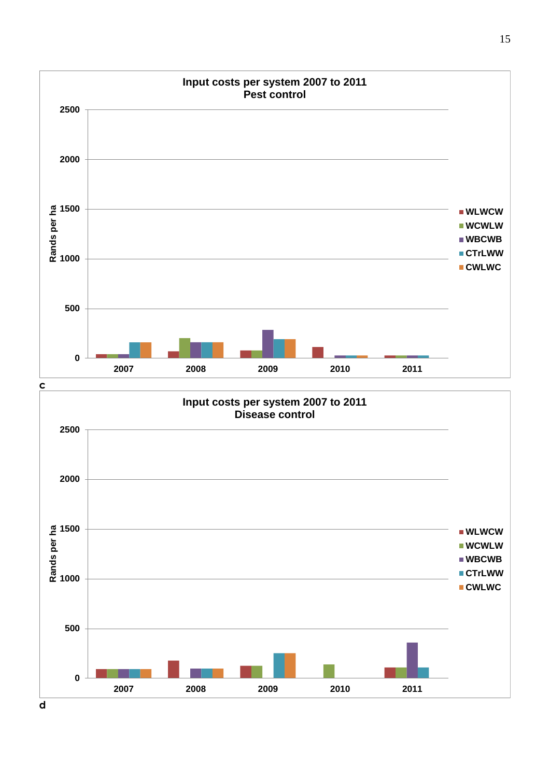

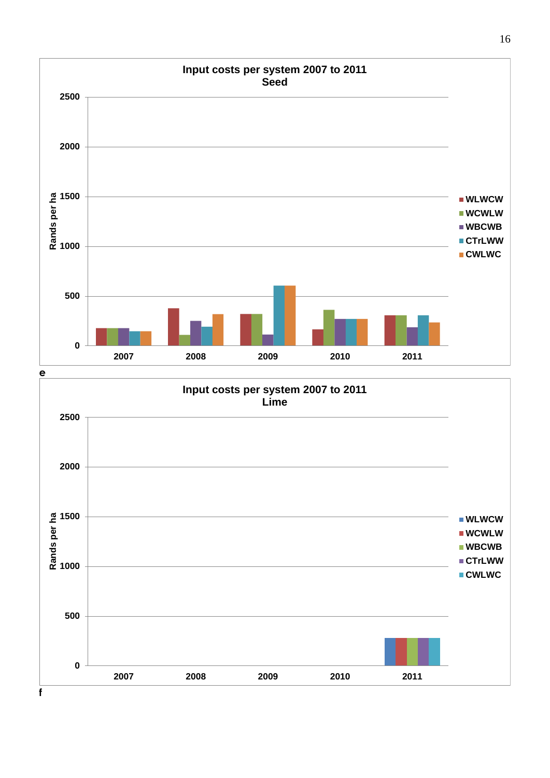

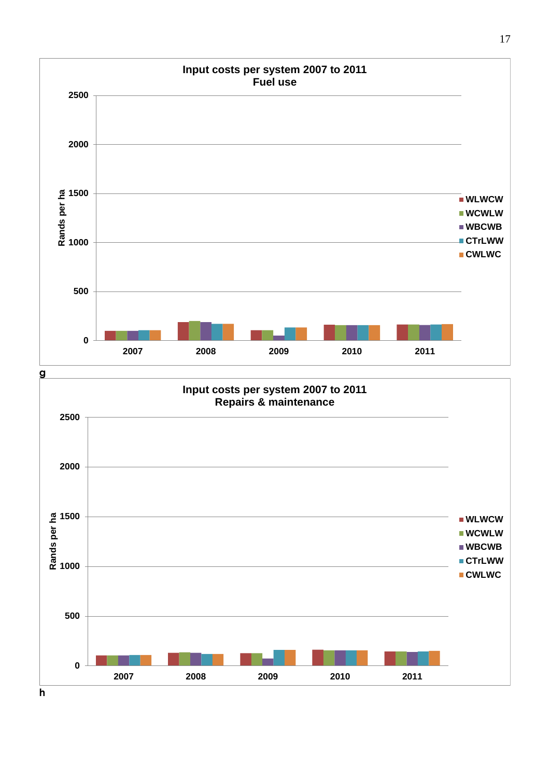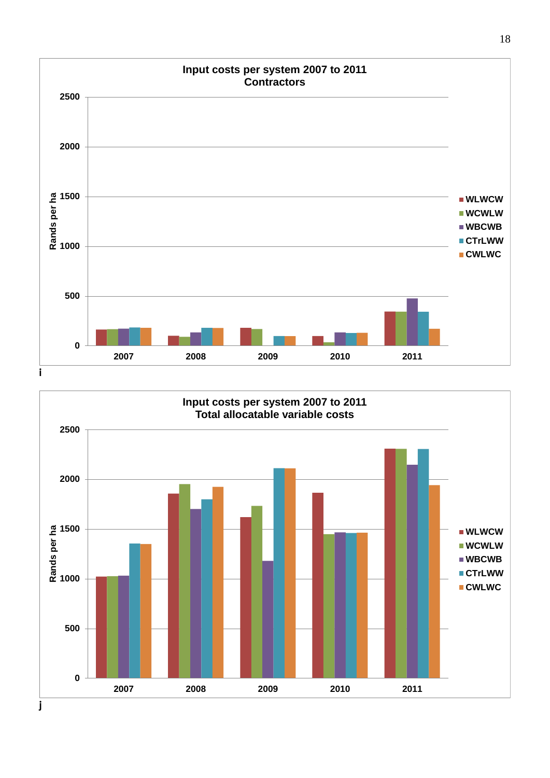

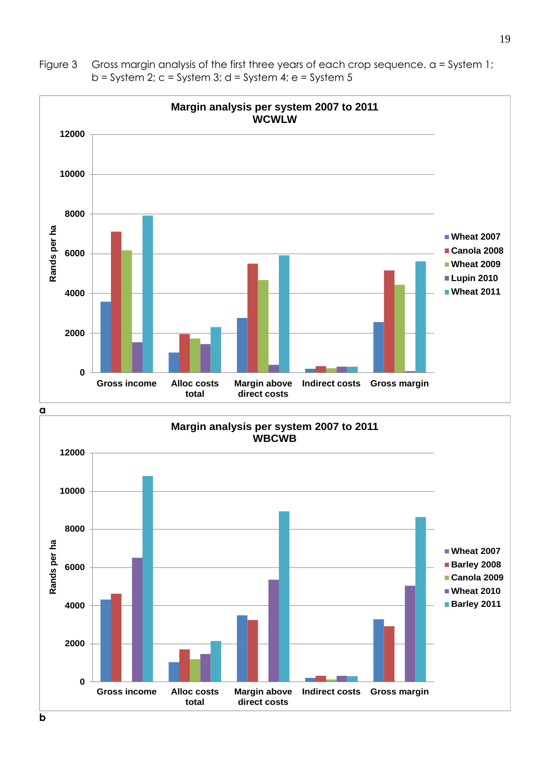

**total**

Figure 3 Gross margin analysis of the first three years of each crop sequence. a = System 1;  $b =$  System 2;  $c =$  System 3;  $d =$  System 4;  $e =$  System 5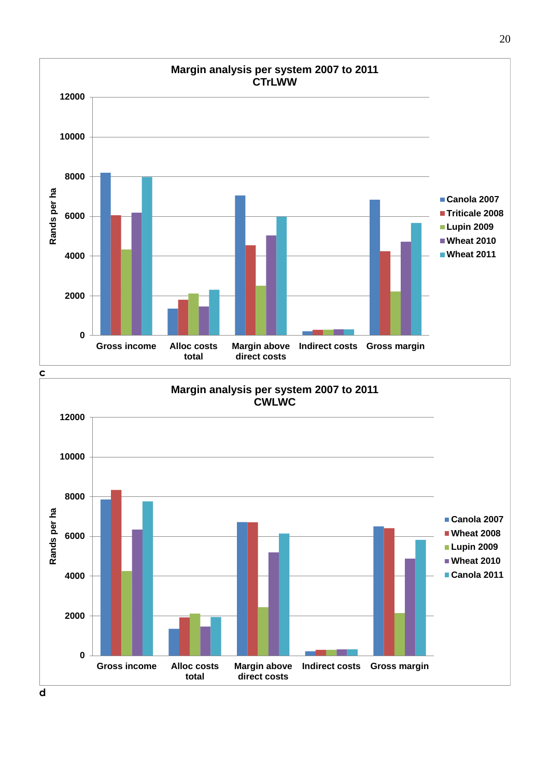

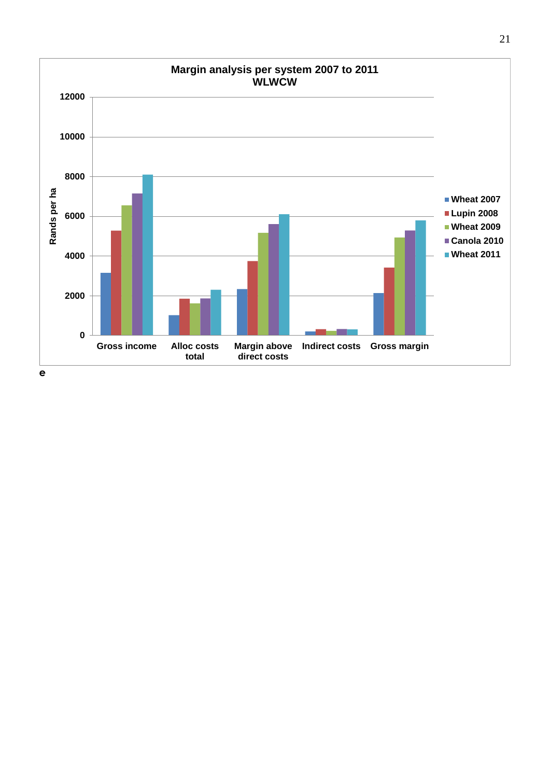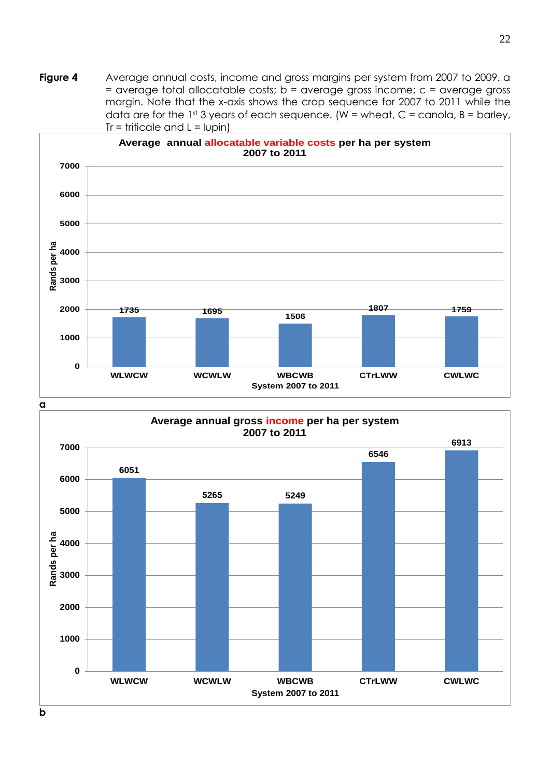**Figure 4** Average annual costs, income and gross margins per system from 2007 to 2009. a = average total allocatable costs; b = average gross income; c = average gross margin. Note that the x-axis shows the crop sequence for 2007 to 2011 while the data are for the 1st 3 years of each sequence. (W = wheat, C = canola, B = barley,  $Tr = trificale$  and  $L = lupin$ )



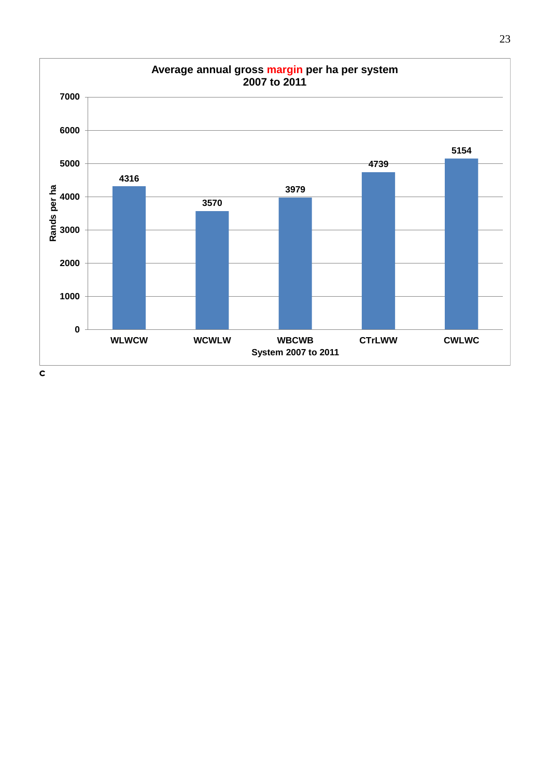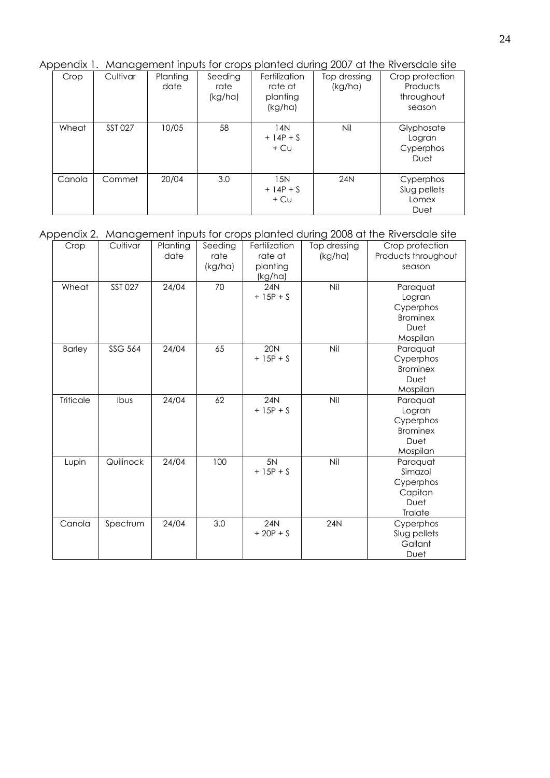Appendix 1. Management inputs for crops planted during 2007 at the Riversdale site

| Crop   | Cultivar | Planting<br>date | Seeding<br>rate<br>(kg/ha) | Fertilization<br>rate at<br>planting<br>(kg/ha) | Top dressing<br>(kg/ha) | Crop protection<br>Products<br>throughout<br>season |
|--------|----------|------------------|----------------------------|-------------------------------------------------|-------------------------|-----------------------------------------------------|
| Wheat  | SST 027  | 10/05            | 58                         | 14N<br>$+14P + S$<br>$+$ Cu                     | Nil                     | Glyphosate<br>Logran<br>Cyperphos<br>Duet           |
| Canola | Commet   | 20/04            | 3.0                        | 15N<br>$+14P + S$<br>$+$ Cu                     | 24N                     | Cyperphos<br>Slug pellets<br>Lomex<br>Duet          |

# Appendix 2. Management inputs for crops planted during 2008 at the Riversdale site

| Crop             | Cultivar       | Planting<br>date | Seeding<br>rate<br>(kg/ha) | Fertilization<br>rate at<br>planting<br>(kg/ha) | Top dressing<br>(kg/ha) | Crop protection<br>Products throughout<br>season                       |
|------------------|----------------|------------------|----------------------------|-------------------------------------------------|-------------------------|------------------------------------------------------------------------|
| Wheat            | <b>SST 027</b> | 24/04            | 70                         | 24N<br>$+ 15P + S$                              | Nil                     | Paraquat<br>Logran<br>Cyperphos<br><b>Brominex</b><br>Duet<br>Mospilan |
| <b>Barley</b>    | <b>SSG 564</b> | 24/04            | 65                         | <b>20N</b><br>$+ 15P + S$                       | Nil                     | Paraquat<br>Cyperphos<br><b>Brominex</b><br>Duet<br>Mospilan           |
| <b>Triticale</b> | Ibus           | 24/04            | 62                         | 24N<br>$+ 15P + S$                              | Nil                     | Paraquat<br>Logran<br>Cyperphos<br><b>Brominex</b><br>Duet<br>Mospilan |
| Lupin            | Quilinock      | 24/04            | 100                        | 5N<br>$+ 15P + S$                               | Nil                     | Paraquat<br>Simazol<br>Cyperphos<br>Capitan<br>Duet<br>Tralate         |
| Canola           | Spectrum       | 24/04            | 3.0                        | <b>24N</b><br>$+20P + S$                        | <b>24N</b>              | Cyperphos<br>Slug pellets<br>Gallant<br>Duet                           |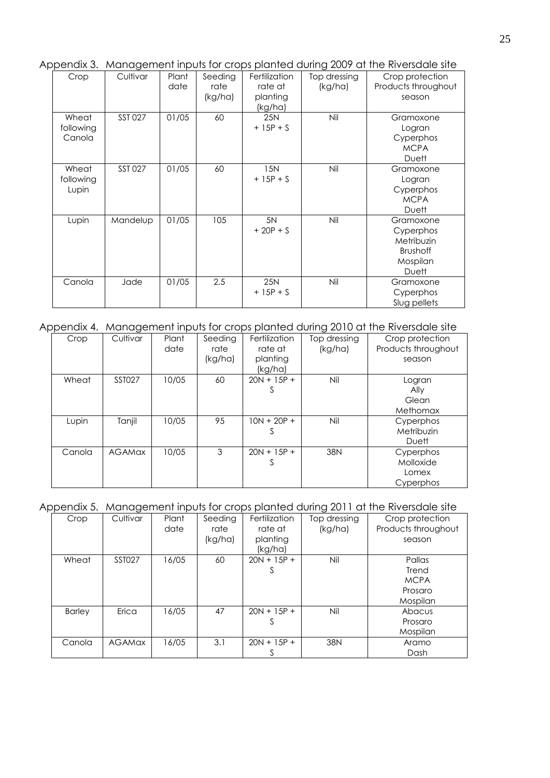Appendix 3. Management inputs for crops planted during 2009 at the Riversdale site

| Crop                         | Cultivar | Plant<br>date | Seeding<br>rate<br>(kg/ha) | Fertilization<br>rate at<br>planting | Top dressing<br>(kg/ha) | Crop protection<br>Products throughout<br>season                             |
|------------------------------|----------|---------------|----------------------------|--------------------------------------|-------------------------|------------------------------------------------------------------------------|
| Wheat<br>following<br>Canola | SST 027  | 01/05         | 60                         | (kg/ha)<br><b>25N</b><br>$+ 15P + S$ | Nil                     | Gramoxone<br>Logran<br>Cyperphos<br><b>MCPA</b><br><b>Duett</b>              |
| Wheat<br>following<br>Lupin  | SST 027  | 01/05         | 60                         | 15N<br>$+ 15P + S$                   | Nil                     | Gramoxone<br>Logran<br>Cyperphos<br><b>MCPA</b><br>Duett                     |
| Lupin                        | Mandelup | 01/05         | 105                        | 5N<br>$+20P + S$                     | Nil                     | Gramoxone<br>Cyperphos<br>Metribuzin<br><b>Brushoff</b><br>Mospilan<br>Duett |
| Canola                       | Jade     | 01/05         | 2.5                        | <b>25N</b><br>$+ 15P + S$            | Nil                     | Gramoxone<br>Cyperphos<br>Slug pellets                                       |

Appendix 4. Management inputs for crops planted during 2010 at the Riversdale site

| Crop   | Cultivar      | Plant<br>date | Seeding<br>rate<br>(kg/ha) | Fertilization<br>rate at<br>planting<br>(kg/ha) | Top dressing<br>(kg/ha) | Crop protection<br>Products throughout<br>season |
|--------|---------------|---------------|----------------------------|-------------------------------------------------|-------------------------|--------------------------------------------------|
| Wheat  | <b>SST027</b> | 10/05         | 60                         | $20N + 15P +$<br>S                              | Nil                     | Logran<br>Ally<br>Glean<br>Methomax              |
| Lupin  | Tanjil        | 10/05         | 95                         | $10N + 20P +$<br>Ζ                              | Nil                     | Cyperphos<br>Metribuzin<br>Duett                 |
| Canola | <b>AGAMax</b> | 10/05         | 3                          | $20N + 15P +$<br>S                              | 38N                     | Cyperphos<br>Molloxide<br>Lomex<br>Cyperphos     |

## Appendix 5. Management inputs for crops planted during 2011 at the Riversdale site

| Crop          | Cultivar      | Plant       | Seeding | Fertilization      | Top dressing | Crop protection     |
|---------------|---------------|-------------|---------|--------------------|--------------|---------------------|
|               |               | date        | rate    | rate at<br>(kg/ha) |              | Products throughout |
|               |               |             | (kg/ha) | planting           |              | season              |
|               |               |             |         | (kg/ha)            |              |                     |
| Wheat         | <b>SST027</b> | 16/05<br>60 |         | $20N + 15P +$      | Nil          | Pallas              |
|               |               |             |         | S.                 |              | Trend               |
|               |               |             |         |                    |              | <b>MCPA</b>         |
|               |               |             |         |                    |              | Prosaro             |
|               |               |             |         |                    |              | Mospilan            |
| <b>Barley</b> | Erica         | 16/05       | 47      | $20N + 15P +$      | Nil          | Abacus              |
|               |               |             |         |                    |              | Prosaro             |
|               |               |             |         |                    |              | Mospilan            |
| Canola        | <b>AGAMOX</b> | 16/05       | 3.1     | $20N + 15P +$      | 38N          | Aramo               |
|               |               |             |         |                    |              | Dash                |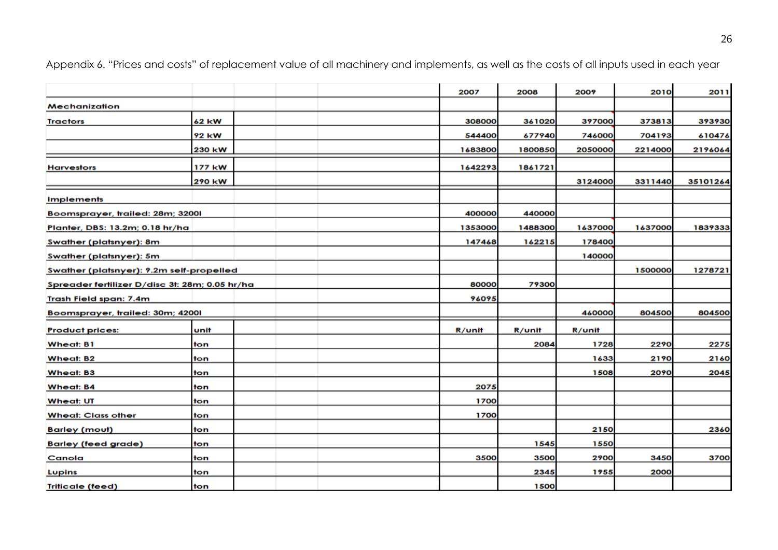|                                                |        |  |  | 2007    | 2008    | 2009    | 2010    | 2011     |
|------------------------------------------------|--------|--|--|---------|---------|---------|---------|----------|
| Mechanization                                  |        |  |  |         |         |         |         |          |
| <b>Tractors</b>                                | 62 kW  |  |  | 308000  | 361020  | 397000  | 373813  | 393930   |
|                                                | 92 kW  |  |  | 544400  | 677940  | 746000  | 704193  | 610476   |
|                                                | 230 kW |  |  | 1683800 | 1800850 | 2050000 | 2214000 | 2196064  |
| <b>Harvestors</b>                              | 177 kW |  |  | 1642293 | 1861721 |         |         |          |
|                                                | 290 kW |  |  |         |         | 3124000 | 3311440 | 35101264 |
| <b>Implements</b>                              |        |  |  |         |         |         |         |          |
| Boomsprayer, trailed: 28m; 32001               |        |  |  | 400000  | 440000  |         |         |          |
| Planter, DBS: 13.2m; 0.18 hr/ha                |        |  |  | 1353000 | 1488300 | 1637000 | 1637000 | 1839333  |
| <b>Swather (platsnyer): 8m</b>                 |        |  |  | 147468  | 162215  | 178400  |         |          |
| Swather (platsnyer): 5m                        |        |  |  |         |         | 140000  |         |          |
| Swather (platsnyer): 9.2m self-propelled       |        |  |  |         |         |         | 1500000 | 1278721  |
| Spreader fertilizer D/disc 3t: 28m; 0.05 hr/ha |        |  |  | 80000   | 79300   |         |         |          |
| <b>Trash Field span: 7.4m</b>                  |        |  |  | 96095   |         |         |         |          |
| Boomsprayer, trailed: 30m; 42001               |        |  |  |         |         | 460000  | 804500  | 804500   |
| <b>Product prices:</b>                         | unit   |  |  | R/unit  | R/unit  | R/unit  |         |          |
| <b>Wheat: B1</b>                               | ton    |  |  |         | 2084    | 1728    | 2290    | 2275     |
| <b>Wheat: B2</b>                               | ton    |  |  |         |         | 1633    | 2190    | 2160     |
| <b>Wheat: B3</b>                               | ton    |  |  |         |         | 1508    | 2090    | 2045     |
| <b>Wheat: B4</b>                               | ton    |  |  | 2075    |         |         |         |          |
| <b>Wheat: UT</b>                               | ton    |  |  | 1700    |         |         |         |          |
| <b>Wheat: Class other</b>                      | ton    |  |  | 1700    |         |         |         |          |
| <b>Barley (mout)</b>                           | ton    |  |  |         |         | 2150    |         | 2360     |
| <b>Barley (feed grade)</b>                     | ton    |  |  |         | 1545    | 1550    |         |          |
| Canola                                         | ton    |  |  | 3500    | 3500    | 2900    | 3450    | 3700     |
| <b>Lupins</b>                                  | ton    |  |  |         | 2345    | 1955    | 2000    |          |
| <b>Triticale (feed)</b>                        | ton    |  |  |         | 1500    |         |         |          |

Appendix 6. "Prices and costs" of replacement value of all machinery and implements, as well as the costs of all inputs used in each year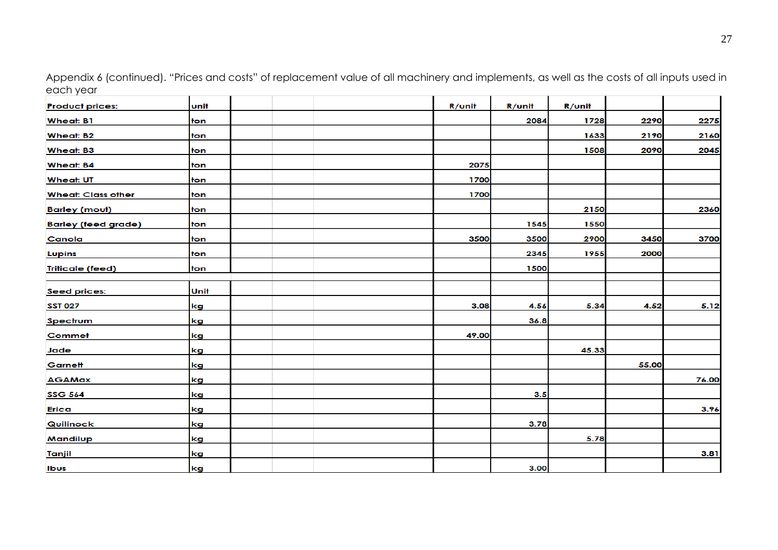| <b>Product prices:</b>     | unit |  | R/unit | R/unit | R/unit |       |       |
|----------------------------|------|--|--------|--------|--------|-------|-------|
| <b>Wheat: B1</b>           | ton  |  |        | 2084   | 1728   | 2290  | 2275  |
| <b>Wheat: B2</b>           | ton  |  |        |        | 1633   | 2190  | 2160  |
| <b>Wheat: B3</b>           | ton  |  |        |        | 1508   | 2090  | 2045  |
| <b>Wheat: B4</b>           | ton  |  | 2075   |        |        |       |       |
| <b>Wheat: UT</b>           | ton  |  | 1700   |        |        |       |       |
| <b>Wheat: Class other</b>  | ton  |  | 1700   |        |        |       |       |
| <b>Barley (mout)</b>       | ton  |  |        |        | 2150   |       | 2360  |
| <b>Barley (feed grade)</b> | ton  |  |        | 1545   | 1550   |       |       |
| Canola                     | ton  |  | 3500   | 3500   | 2900   | 3450  | 3700  |
| <b>Lupins</b>              | ton  |  |        | 2345   | 1955   | 2000  |       |
| <b>Triticale (feed)</b>    | ton  |  |        | 1500   |        |       |       |
| <b>Seed prices:</b>        | Unit |  |        |        |        |       |       |
| <b>SST 027</b>             | kg   |  | 3.08   | 4.56   | 5.34   | 4.52  | 5.12  |
| Spectrum                   | kg   |  |        | 36.8   |        |       |       |
| Commet                     | kg   |  | 49.00  |        |        |       |       |
| <b>Jade</b>                | kg   |  |        |        | 45.33  |       |       |
| Garnett                    | kg   |  |        |        |        | 55.00 |       |
| <b>AGAMax</b>              | kg   |  |        |        |        |       | 76.00 |
| <b>SSG 564</b>             | kg   |  |        | 3.5    |        |       |       |
| <b>Erica</b>               | kg   |  |        |        |        |       | 3.96  |
| Quilinock                  | kg   |  |        | 3.78   |        |       |       |
| <b>Mandilup</b>            | kg   |  |        |        | 5.78   |       |       |
| Tanjil                     | kg   |  |        |        |        |       | 3.81  |
| Ibus                       | kg   |  |        | 3.00   |        |       |       |

Appendix 6 (continued). "Prices and costs" of replacement value of all machinery and implements, as well as the costs of all inputs used in each year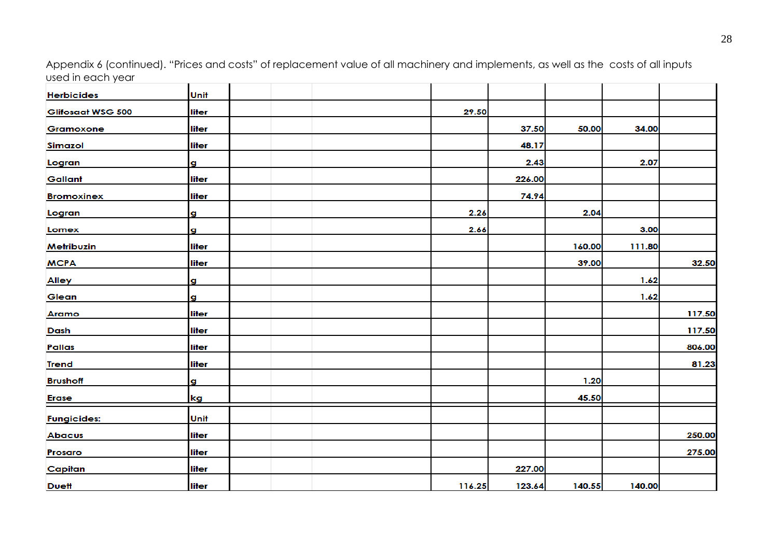Appendix 6 (continued). "Prices and costs" of replacement value of all machinery and implements, as well as the costs of all inputs used in each year 

| <b>Herbicides</b>  | Unit  |  |  |        |        |        |        |        |
|--------------------|-------|--|--|--------|--------|--------|--------|--------|
| Glifosaat WSG 500  | liter |  |  | 29.50  |        |        |        |        |
| Gramoxone          | liter |  |  |        | 37.50  | 50.00  | 34.00  |        |
| <b>Simazol</b>     | liter |  |  |        | 48.17  |        |        |        |
| Logran             | g     |  |  |        | 2.43   |        | 2.07   |        |
| Gallant            | liter |  |  |        | 226.00 |        |        |        |
| <b>Bromoxinex</b>  | liter |  |  |        | 74.94  |        |        |        |
| Logran             | g     |  |  | 2.26   |        | 2.04   |        |        |
| Lomex              | g     |  |  | 2.66   |        |        | 3.00   |        |
| Metribuzin         | liter |  |  |        |        | 160.00 | 111.80 |        |
| <b>MCPA</b>        | liter |  |  |        |        | 39.00  |        | 32.50  |
| <b>Alley</b>       | g     |  |  |        |        |        | 1.62   |        |
| Glean              | g     |  |  |        |        |        | 1.62   |        |
| Aramo              | liter |  |  |        |        |        |        | 117.50 |
| <b>Dash</b>        | liter |  |  |        |        |        |        | 117.50 |
| <b>Pallas</b>      | liter |  |  |        |        |        |        | 806.00 |
| <b>Trend</b>       | liter |  |  |        |        |        |        | 81.23  |
| <b>Brushoff</b>    | g     |  |  |        |        | 1.20   |        |        |
| <b>Erase</b>       | kg    |  |  |        |        | 45.50  |        |        |
| <b>Fungicides:</b> | Unit  |  |  |        |        |        |        |        |
| <b>Abacus</b>      | liter |  |  |        |        |        |        | 250.00 |
| Prosaro            | liter |  |  |        |        |        |        | 275.00 |
| Capitan            | liter |  |  |        | 227.00 |        |        |        |
| <b>Duett</b>       | liter |  |  | 116.25 | 123.64 | 140.55 | 140.00 |        |